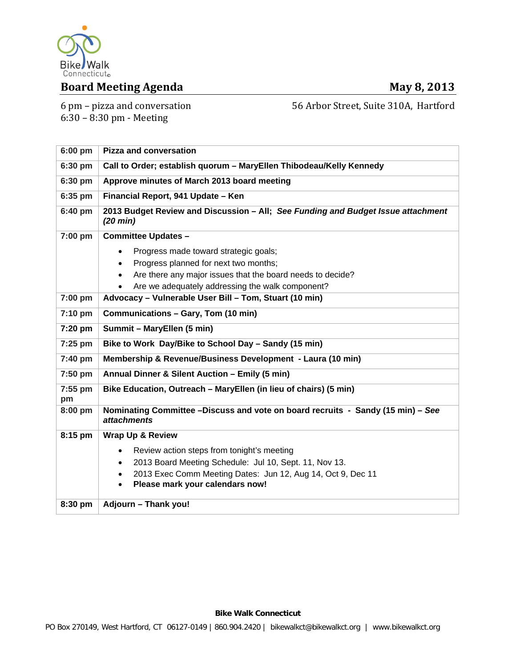

# **Board Meeting Agenda May 8, 2013**

6 pm – pizza and conversation  $6:30 - 8:30$  pm - Meeting

56 Arbor Street, Suite 310A, Hartford

**6:00 pm Pizza and conversation 6:30 pm Call to Order; establish quorum – MaryEllen Thibodeau/Kelly Kennedy 6:30 pm Approve minutes of March 2013 board meeting 6:35 pm Financial Report, 941 Update – Ken 6:40 pm 2013 Budget Review and Discussion – All;** *See Funding and Budget Issue attachment (20 min)*  **7:00 pm Committee Updates –**  Progress made toward strategic goals; • Progress planned for next two months; Are there any major issues that the board needs to decide? Are we adequately addressing the walk component? **7:00 pm Advocacy – Vulnerable User Bill – Tom, Stuart (10 min) 7:10 pm Communications – Gary, Tom (10 min)**  7:20 pm | Summit – MaryEllen (5 min) 7:25 pm | Bike to Work Day/Bike to School Day - Sandy (15 min) **7:40 pm Membership & Revenue/Business Development - Laura (10 min)**  7:50 pm | Annual Dinner & Silent Auction – Emily (5 min) **7:55 pm pm Bike Education, Outreach – MaryEllen (in lieu of chairs) (5 min) 8:00 pm Nominating Committee –Discuss and vote on board recruits - Sandy (15 min) –** *See attachments* **8:15 pm Wrap Up & Review**  • Review action steps from tonight's meeting 2013 Board Meeting Schedule: Jul 10, Sept. 11, Nov 13. 2013 Exec Comm Meeting Dates: Jun 12, Aug 14, Oct 9, Dec 11 **Please mark your calendars now!**  8:30 pm | Adjourn – Thank you!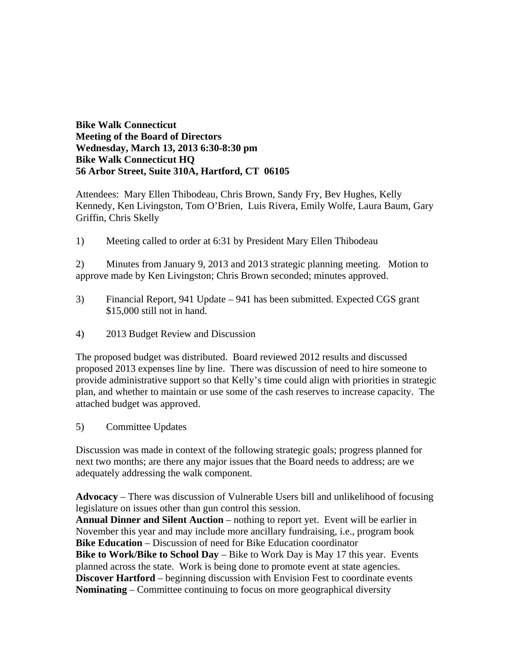### **Bike Walk Connecticut Meeting of the Board of Directors Wednesday, March 13, 2013 6:30-8:30 pm Bike Walk Connecticut HQ 56 Arbor Street, Suite 310A, Hartford, CT 06105**

Attendees: Mary Ellen Thibodeau, Chris Brown, Sandy Fry, Bev Hughes, Kelly Kennedy, Ken Livingston, Tom O'Brien, Luis Rivera, Emily Wolfe, Laura Baum, Gary Griffin, Chris Skelly

1) Meeting called to order at 6:31 by President Mary Ellen Thibodeau

2) Minutes from January 9, 2013 and 2013 strategic planning meeting. Motion to approve made by Ken Livingston; Chris Brown seconded; minutes approved.

- 3) Financial Report, 941 Update 941 has been submitted. Expected CGS grant \$15,000 still not in hand.
- 4) 2013 Budget Review and Discussion

The proposed budget was distributed. Board reviewed 2012 results and discussed proposed 2013 expenses line by line. There was discussion of need to hire someone to provide administrative support so that Kelly's time could align with priorities in strategic plan, and whether to maintain or use some of the cash reserves to increase capacity. The attached budget was approved.

5) Committee Updates

Discussion was made in context of the following strategic goals; progress planned for next two months; are there any major issues that the Board needs to address; are we adequately addressing the walk component.

**Advocacy** – There was discussion of Vulnerable Users bill and unlikelihood of focusing legislature on issues other than gun control this session.

**Annual Dinner and Silent Auction** – nothing to report yet. Event will be earlier in November this year and may include more ancillary fundraising, i.e., program book **Bike Education** – Discussion of need for Bike Education coordinator **Bike to Work/Bike to School Day** – Bike to Work Day is May 17 this year. Events planned across the state. Work is being done to promote event at state agencies. **Discover Hartford** – beginning discussion with Envision Fest to coordinate events **Nominating** – Committee continuing to focus on more geographical diversity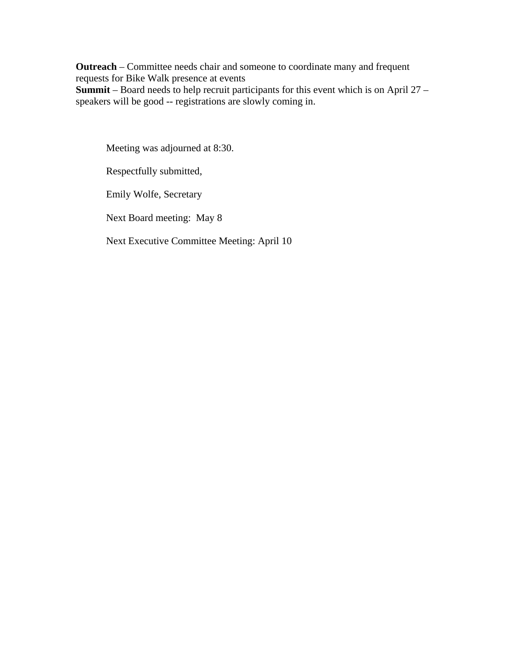**Outreach** – Committee needs chair and someone to coordinate many and frequent requests for Bike Walk presence at events **Summit** – Board needs to help recruit participants for this event which is on April 27 – speakers will be good -- registrations are slowly coming in.

Meeting was adjourned at 8:30.

Respectfully submitted,

Emily Wolfe, Secretary

Next Board meeting: May 8

Next Executive Committee Meeting: April 10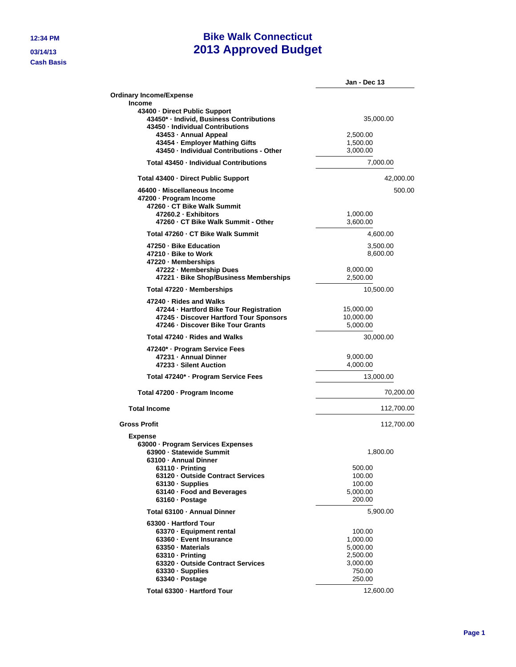**Cash Basis**

# **12:34 PM Bike Walk Connecticut 03/14/13 2013 Approved Budget**

|                                                                                                               | Jan - Dec 13          |
|---------------------------------------------------------------------------------------------------------------|-----------------------|
| <b>Ordinary Income/Expense</b>                                                                                |                       |
| <b>Income</b>                                                                                                 |                       |
| 43400 - Direct Public Support<br>43450* - Individ, Business Contributions<br>43450 - Individual Contributions | 35,000.00             |
| 43453 - Annual Appeal                                                                                         | 2,500.00              |
| 43454 · Employer Mathing Gifts                                                                                | 1,500.00              |
| 43450 - Individual Contributions - Other                                                                      | 3,000.00              |
| Total 43450 - Individual Contributions                                                                        | 7,000.00              |
| Total 43400 - Direct Public Support                                                                           | 42,000.00             |
| 46400 · Miscellaneous Income                                                                                  | 500.00                |
| 47200 - Program Income                                                                                        |                       |
| 47260 - CT Bike Walk Summit                                                                                   |                       |
| 47260.2 · Exhibitors                                                                                          | 1,000.00              |
| 47260 - CT Bike Walk Summit - Other                                                                           | 3,600.00              |
| Total 47260 - CT Bike Walk Summit                                                                             | 4,600.00              |
| 47250 - Bike Education                                                                                        | 3,500.00              |
| 47210 - Bike to Work                                                                                          | 8,600.00              |
| 47220 - Memberships<br>47222 - Membership Dues                                                                |                       |
| 47221 · Bike Shop/Business Memberships                                                                        | 8,000.00<br>2,500.00  |
|                                                                                                               |                       |
| Total 47220 - Memberships                                                                                     | 10,500.00             |
| 47240 - Rides and Walks                                                                                       |                       |
| 47244 - Hartford Bike Tour Registration                                                                       | 15,000.00             |
| 47245 · Discover Hartford Tour Sponsors<br>47246 - Discover Bike Tour Grants                                  | 10,000.00<br>5,000.00 |
|                                                                                                               |                       |
| Total 47240 - Rides and Walks                                                                                 | 30,000.00             |
| 47240* · Program Service Fees                                                                                 |                       |
| 47231 - Annual Dinner<br>47233 - Silent Auction                                                               | 9,000.00              |
|                                                                                                               | 4,000.00              |
| Total 47240* · Program Service Fees                                                                           | 13,000.00             |
| Total 47200 · Program Income                                                                                  | 70,200.00             |
| <b>Total Income</b>                                                                                           | 112,700.00            |
| <b>Gross Profit</b>                                                                                           | 112,700.00            |
| Expense                                                                                                       |                       |
| 63000 - Program Services Expenses                                                                             |                       |
| 63900 - Statewide Summit<br>63100 - Annual Dinner                                                             | 1,800.00              |
| 63110 - Printing                                                                                              | 500.00                |
| 63120 - Outside Contract Services                                                                             | 100.00                |
| $63130 \cdot$ Supplies                                                                                        | 100.00                |
| 63140 · Food and Beverages                                                                                    | 5,000.00              |
| 63160 · Postage                                                                                               | 200.00                |
| Total 63100 - Annual Dinner                                                                                   | 5,900.00              |
| 63300 - Hartford Tour                                                                                         |                       |
| 63370 · Equipment rental                                                                                      | 100.00                |
| 63360 - Event Insurance                                                                                       | 1,000.00              |
| 63350 · Materials                                                                                             | 5,000.00              |
| 63310 - Printina                                                                                              | 2,500.00              |
| 63320 - Outside Contract Services                                                                             | 3,000.00              |
| 63330 · Supplies                                                                                              | 750.00                |
| 63340 · Postage                                                                                               | 250.00                |
| Total 63300 - Hartford Tour                                                                                   | 12,600.00             |
|                                                                                                               |                       |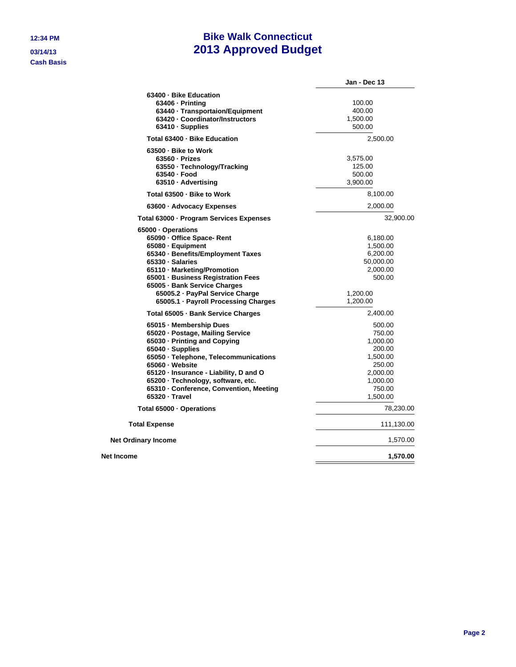**Cash Basis**

# **12:34 PM Bike Walk Connecticut 03/14/13 2013 Approved Budget**

|                                                                                                                                                                                                                                                                                                                                                      | Jan - Dec 13                                                                                                            |
|------------------------------------------------------------------------------------------------------------------------------------------------------------------------------------------------------------------------------------------------------------------------------------------------------------------------------------------------------|-------------------------------------------------------------------------------------------------------------------------|
| 63400 - Bike Education<br>$63406 \cdot \text{Printing}$<br>63440 - Transportaion/Equipment<br>63420 - Coordinator/Instructors<br>63410 · Supplies                                                                                                                                                                                                    | 100.00<br>400.00<br>1,500.00<br>500.00                                                                                  |
| Total 63400 - Bike Education                                                                                                                                                                                                                                                                                                                         | 2,500.00                                                                                                                |
| 63500 - Bike to Work<br>$63560 \cdot Prizes$<br>63550 · Technology/Tracking<br>63540 - Food<br>63510 · Advertising                                                                                                                                                                                                                                   | 3,575.00<br>125.00<br>500.00<br>3,900.00                                                                                |
| Total 63500 - Bike to Work                                                                                                                                                                                                                                                                                                                           | 8,100.00                                                                                                                |
| 63600 · Advocacy Expenses                                                                                                                                                                                                                                                                                                                            | 2,000.00                                                                                                                |
| Total 63000 - Program Services Expenses                                                                                                                                                                                                                                                                                                              | 32,900.00                                                                                                               |
| 65000 · Operations<br>65090 · Office Space- Rent<br>65080 · Equipment<br>65340 · Benefits/Employment Taxes<br>65330 · Salaries<br>65110 · Marketing/Promotion<br>65001 · Business Registration Fees<br>65005 - Bank Service Charges<br>65005.2 · PayPal Service Charge<br>65005.1 - Payroll Processing Charges                                       | 6,180.00<br>1,500.00<br>6,200.00<br>50,000.00<br>2,000.00<br>500.00<br>1,200.00<br>1,200.00                             |
| Total 65005 - Bank Service Charges                                                                                                                                                                                                                                                                                                                   | 2,400.00                                                                                                                |
| 65015 - Membership Dues<br>65020 - Postage, Mailing Service<br>65030 - Printing and Copying<br>65040 · Supplies<br>65050 · Telephone, Telecommunications<br>65060 · Website<br>65120 · Insurance - Liability, D and O<br>65200 · Technology, software, etc.<br>65310 - Conference, Convention, Meeting<br>65320 - Travel<br>Total 65000 · Operations | 500.00<br>750.00<br>1,000.00<br>200.00<br>1,500.00<br>250.00<br>2,000.00<br>1,000.00<br>750.00<br>1,500.00<br>78,230.00 |
| <b>Total Expense</b>                                                                                                                                                                                                                                                                                                                                 | 111,130.00                                                                                                              |
| <b>Net Ordinary Income</b>                                                                                                                                                                                                                                                                                                                           | 1,570.00                                                                                                                |
| Net Income                                                                                                                                                                                                                                                                                                                                           | 1,570.00                                                                                                                |
|                                                                                                                                                                                                                                                                                                                                                      |                                                                                                                         |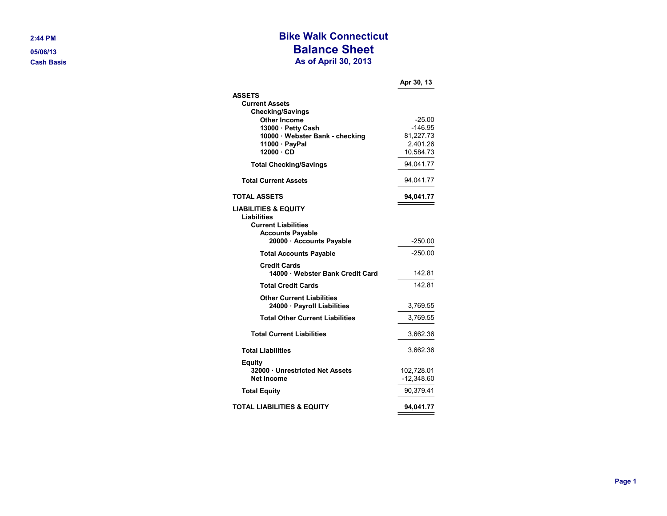#### **2 :44 P**

**0 5 / 0 6/1 Ca sh Ba sis**

## **Bike Walk Connecticut Balance Sheet As of April 3 0, 2013**

|                                                                              | Apr 30, 13          |
|------------------------------------------------------------------------------|---------------------|
| <b>ASSETS</b>                                                                |                     |
| <b>Current Assets</b>                                                        |                     |
| <b>Checking/Savings</b>                                                      |                     |
| <b>Other Income</b><br>13000 · Petty Cash                                    | $-25.00$<br>-146.95 |
| 10000 · Webster Bank - checking                                              | 81,227.73           |
| 11000 · PayPal                                                               | 2,401.26            |
| 12000 · CD                                                                   | 10,584.73           |
| <b>Total Checking/Savings</b>                                                | 94,041.77           |
| <b>Total Current Assets</b>                                                  | 94,041.77           |
| <b>TOTAL ASSETS</b>                                                          | 94,041.77           |
| <b>LIABILITIES &amp; EQUITY</b><br>Liabilities<br><b>Current Liabilities</b> |                     |
| <b>Accounts Payable</b>                                                      |                     |
| 20000 · Accounts Payable                                                     | $-250.00$           |
| <b>Total Accounts Payable</b>                                                | $-250.00$           |
| <b>Credit Cards</b><br>14000 · Webster Bank Credit Card                      | 142.81              |
| <b>Total Credit Cards</b>                                                    | 14281               |
| <b>Other Current Liabilities</b>                                             |                     |
| 24000 · Payroll Liabilities                                                  | 3,769.55            |
| <b>Total Other Current Liabilities</b>                                       | 3,769.55            |
| <b>Total Current Liabilities</b>                                             | 3,662.36            |
| <b>Total Liabilities</b>                                                     | 3,662.36            |
| Equity                                                                       |                     |
| 32000 Unrestricted Net Assets                                                | 102,728.01          |
| Net Income                                                                   | $-12,348.60$        |
| <b>Total Equity</b>                                                          | 90,379.41           |
| <b>TOTAL LIABILITIES &amp; EQUITY</b>                                        | 94,041.77           |
|                                                                              |                     |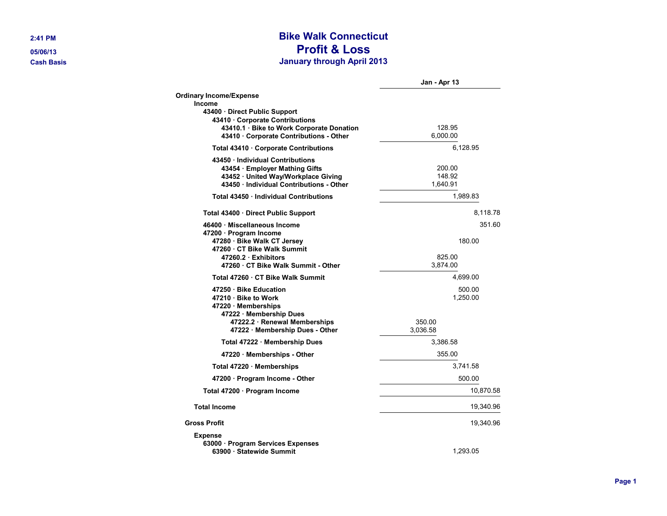# **2:41 PM Bike Walk Connecticut 05/06/13 Profit & Loss Cash Basis January through April 2013**

|                                                                                                                                                      | Jan - Apr 13                 |
|------------------------------------------------------------------------------------------------------------------------------------------------------|------------------------------|
| <b>Ordinary Income/Expense</b><br>Income                                                                                                             |                              |
| 43400 Direct Public Support<br>43410 Corporate Contributions<br>43410.1 · Bike to Work Corporate Donation<br>43410 · Corporate Contributions - Other | 128.95<br>6.000.00           |
| Total 43410 · Corporate Contributions                                                                                                                | 6,128.95                     |
| 43450 Individual Contributions<br>43454 · Employer Mathing Gifts<br>43452 · United Way/Workplace Giving<br>43450 Individual Contributions - Other    | 200.00<br>148.92<br>1,640.91 |
| Total 43450 Individual Contributions                                                                                                                 | 1,989.83                     |
| Total 43400 · Direct Public Support                                                                                                                  | 8,118.78                     |
| 46400 · Miscellaneous Income                                                                                                                         | 351.60                       |
| 47200 · Program Income<br>47280 · Bike Walk CT Jersey<br>47260 CT Bike Walk Summit<br>47260.2 Exhibitors                                             | 180.00<br>825.00             |
| 47260 · CT Bike Walk Summit - Other                                                                                                                  | 3,874.00                     |
| Total 47260 · CT Bike Walk Summit                                                                                                                    | 4,699.00                     |
| 47250 Bike Education<br>47210 Bike to Work<br>47220 · Memberships<br>47222 Membership Dues                                                           | 500.00<br>1,250.00           |
| 47222.2 · Renewal Memberships<br>47222 Membership Dues - Other                                                                                       | 350.00<br>3.036.58           |
| Total 47222 · Membership Dues                                                                                                                        | 3.386.58                     |
| 47220 Memberships - Other                                                                                                                            | 355.00                       |
| Total 47220 Memberships                                                                                                                              | 3,741.58                     |
| 47200 · Program Income - Other                                                                                                                       | 500.00                       |
| Total 47200 · Program Income                                                                                                                         | 10,870.58                    |
| <b>Total Income</b>                                                                                                                                  | 19,340.96                    |
| <b>Gross Profit</b>                                                                                                                                  | 19,340.96                    |
| <b>Expense</b><br>63000 · Program Services Expenses<br>63900 Statewide Summit                                                                        | 1,293.05                     |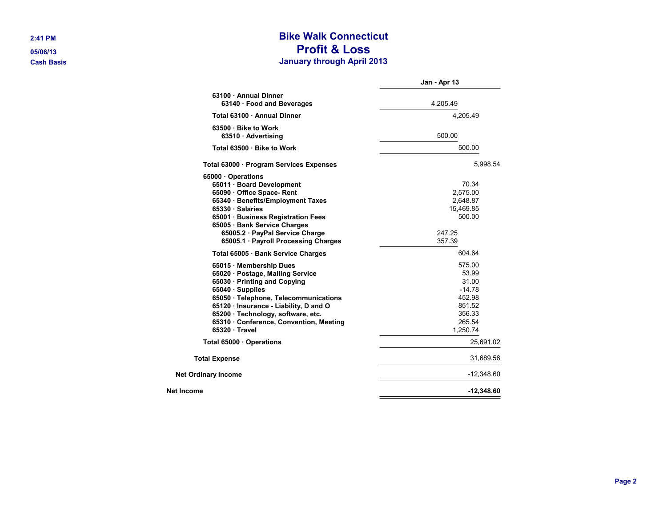# **2:41 PM Bike Walk Connecticut 05/06/13 Profit & Loss Cash Basis January through April 2013**

|                                                                 | Jan - Apr 13 |
|-----------------------------------------------------------------|--------------|
| 63100 · Annual Dinner<br>63140 Food and Beverages               | 4,205.49     |
| Total 63100 · Annual Dinner                                     | 4.205.49     |
|                                                                 |              |
| 63500 Bike to Work                                              |              |
| 63510 Advertising                                               | 500.00       |
| Total 63500 · Bike to Work                                      | 500.00       |
| Total 63000 · Program Services Expenses                         | 5,998.54     |
| 65000 · Operations                                              |              |
| 65011 · Board Development                                       | 70.34        |
| 65090 Office Space-Rent                                         | 2,575.00     |
| 65340 · Benefits/Employment Taxes                               | 2,648.87     |
| 65330 · Salaries                                                | 15,469.85    |
| 65001 · Business Registration Fees                              | 500.00       |
| 65005 · Bank Service Charges<br>65005.2 · PayPal Service Charge | 247.25       |
| 65005.1 Payroll Processing Charges                              | 357.39       |
| Total 65005 Bank Service Charges                                | 604.64       |
| 65015 Membership Dues                                           | 575.00       |
| 65020 · Postage, Mailing Service                                | 53.99        |
| 65030 · Printing and Copying                                    | 31.00        |
| 65040 · Supplies                                                | $-14.78$     |
| 65050 · Telephone, Telecommunications                           | 452.98       |
| 65120 · Insurance - Liability, D and O                          | 851.52       |
| 65200 · Technology, software, etc.                              | 356.33       |
| 65310 Conference, Convention, Meeting                           | 265.54       |
| 65320 Travel                                                    | 1,250.74     |
| Total 65000 Operations                                          | 25,691.02    |
| <b>Total Expense</b>                                            | 31,689.56    |
| <b>Net Ordinary Income</b>                                      | $-12,348.60$ |
| Net Income                                                      | $-12,348.60$ |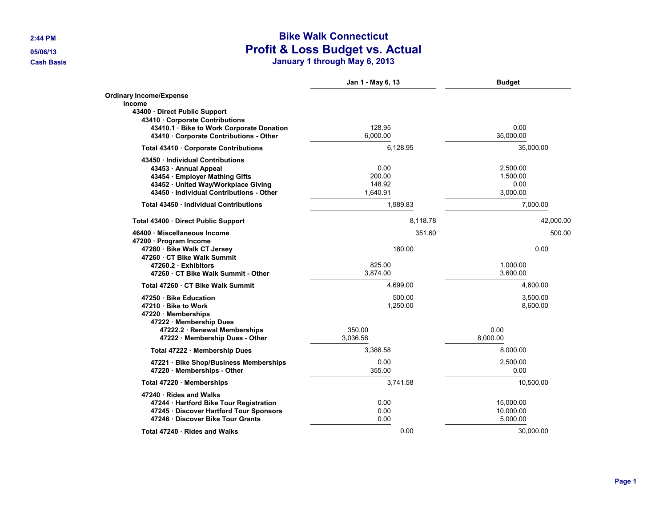# **2:44 PM Bike Walk Connecticut 05/06/13 Profit & Loss Budget vs. Actual Cash Basis January 1 through May 6, 2013**

|                                                                                                                                                                                                       | Jan 1 - May 6, 13                                          | <b>Budget</b>                            |  |
|-------------------------------------------------------------------------------------------------------------------------------------------------------------------------------------------------------|------------------------------------------------------------|------------------------------------------|--|
| <b>Ordinary Income/Expense</b><br><b>Income</b><br>43400 · Direct Public Support<br>43410 Corporate Contributions<br>43410.1 Bike to Work Corporate Donation<br>43410 Corporate Contributions - Other | 128.95<br>6.000.00                                         | 0.00<br>35.000.00                        |  |
| Total 43410 Corporate Contributions                                                                                                                                                                   | 6,128.95                                                   | 35,000.00                                |  |
| 43450 · Individual Contributions<br>43453 · Annual Appeal<br>43454 · Employer Mathing Gifts<br>43452 · United Way/Workplace Giving<br>43450 Individual Contributions - Other                          | 0.00<br>200.00<br>148.92<br>1,640.91                       | 2,500.00<br>1,500.00<br>0.00<br>3,000.00 |  |
| Total 43450 Individual Contributions                                                                                                                                                                  | 1,989.83                                                   | 7,000.00                                 |  |
| Total 43400 · Direct Public Support                                                                                                                                                                   | 8,118.78                                                   | 42,000.00                                |  |
| 46400 · Miscellaneous Income<br>47200 · Program Income<br>47280 · Bike Walk CT Jersey<br>47260 CT Bike Walk Summit<br>47260.2 Exhibitors<br>47260 CT Bike Walk Summit - Other                         | 351.60<br>180.00<br>825.00<br>3,874.00                     | 500.00<br>0.00<br>1,000.00<br>3,600.00   |  |
| Total 47260 CT Bike Walk Summit                                                                                                                                                                       | 4,699.00                                                   | 4,600.00                                 |  |
| 47250 Bike Education<br>47210 · Bike to Work<br>47220 · Memberships<br>47222 Membership Dues<br>47222.2 · Renewal Memberships<br>47222 · Membership Dues - Other                                      | 500.00<br>1,250.00<br>350.00<br>3.036.58                   | 3,500.00<br>8,600.00<br>0.00<br>8.000.00 |  |
| Total 47222 Membership Dues                                                                                                                                                                           | 3.386.58                                                   | 8.000.00                                 |  |
| 47221 · Bike Shop/Business Memberships<br>47220 Memberships - Other                                                                                                                                   | 0.00<br>355.00                                             | 2,500.00<br>0.00                         |  |
| Total 47220 · Memberships                                                                                                                                                                             | 3,741.58                                                   | 10,500.00                                |  |
| 47240 · Rides and Walks<br>47244 · Hartford Bike Tour Registration<br>47245 · Discover Hartford Tour Sponsors<br>47246 Discover Bike Tour Grants                                                      | 0.00<br>15.000.00<br>0.00<br>10,000.00<br>0.00<br>5,000.00 |                                          |  |
| Total 47240 · Rides and Walks                                                                                                                                                                         | 0.00                                                       | 30.000.00                                |  |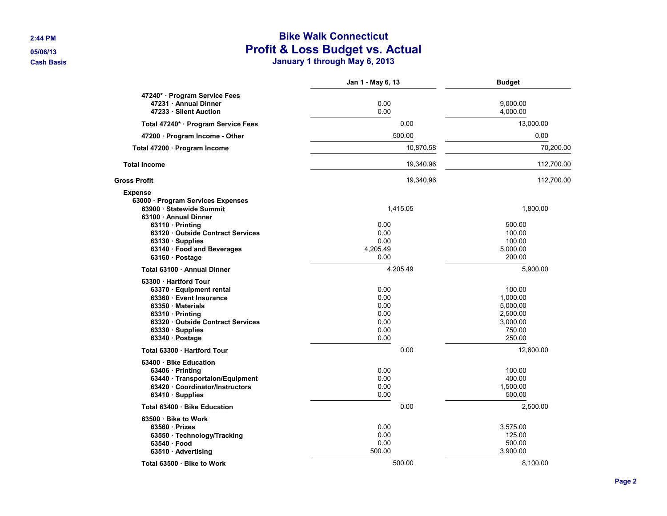# **2:44 PM Bike Walk Connecticut 05/06/13 Profit & Loss Budget vs. Actual Cash Basis January 1 through May 6, 2013**

|                                                                                        | Jan 1 - May 6, 13 | <b>Budget</b>        |
|----------------------------------------------------------------------------------------|-------------------|----------------------|
| 47240* Program Service Fees                                                            |                   |                      |
| 47231 · Annual Dinner<br>47233 · Silent Auction                                        | 0.00<br>0.00      | 9,000.00<br>4,000.00 |
| Total 47240* · Program Service Fees                                                    | 0.00              | 13,000.00            |
| 47200 · Program Income - Other                                                         | 500.00            | 0.00                 |
| Total 47200 · Program Income                                                           | 10,870.58         | 70,200.00            |
| <b>Total Income</b>                                                                    | 19,340.96         | 112,700.00           |
| <b>Gross Profit</b>                                                                    | 19,340.96         | 112,700.00           |
| <b>Expense</b>                                                                         |                   |                      |
| 63000 · Program Services Expenses<br>63900 · Statewide Summit<br>63100 · Annual Dinner | 1.415.05          | 1.800.00             |
| $63110 \cdot \text{Printing}$                                                          | 0.00              | 500.00               |
| 63120 Outside Contract Services                                                        | 0.00              | 100.00               |
| 63130 Supplies                                                                         | 0.00              | 100.00               |
| 63140 · Food and Beverages<br>63160 · Postage                                          | 4,205.49<br>0.00  | 5,000.00<br>200.00   |
| Total 63100 Annual Dinner                                                              | 4,205.49          | 5,900.00             |
| 63300 · Hartford Tour                                                                  |                   |                      |
| 63370 · Equipment rental                                                               | 0.00              | 100.00               |
| 63360 · Event Insurance                                                                | 0.00              | 1,000.00             |
| 63350 Materials                                                                        | 0.00              | 5,000.00             |
| 63310 · Printing                                                                       | 0.00              | 2,500.00             |
| 63320 Outside Contract Services                                                        | 0.00              | 3,000.00             |
| 63330 Supplies                                                                         | 0.00              | 750.00               |
| 63340 Postage                                                                          | 0.00              | 250.00               |
| Total 63300 · Hartford Tour                                                            | 0.00              | 12,600.00            |
| 63400 · Bike Education                                                                 |                   |                      |
| 63406 · Printing                                                                       | 0.00              | 100.00               |
| 63440 · Transportaion/Equipment                                                        | 0.00              | 400.00               |
| 63420 Coordinator/Instructors                                                          | 0.00              | 1,500.00             |
| 63410 · Supplies                                                                       | 0.00              | 500.00               |
| Total 63400 · Bike Education                                                           | 0.00              | 2,500.00             |
| 63500 · Bike to Work                                                                   |                   |                      |
| 63560 Prizes                                                                           | 0.00              | 3,575.00             |
| 63550 · Technology/Tracking                                                            | 0.00              | 125.00               |
| 63540 Food                                                                             | 0.00              | 500.00               |
| 63510 · Advertising                                                                    | 500.00            | 3,900.00             |
| Total 63500 Bike to Work                                                               | 500.00            | 8.100.00             |

**Page 2**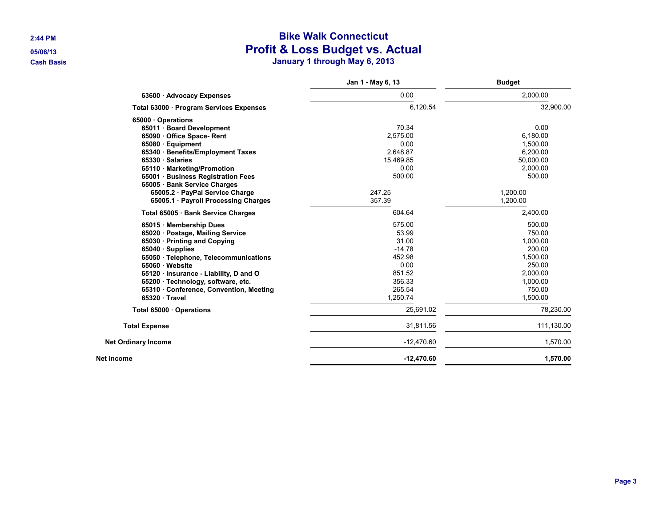# **2:44 PM Bike Walk Connecticut 05/06/13 Profit & Loss Budget vs. Actual Cash Basis January 1 through May 6, 2013**

|                                         | Jan 1 - May 6, 13 | <b>Budget</b> |
|-----------------------------------------|-------------------|---------------|
| 63600 · Advocacy Expenses               | 0.00              | 2,000.00      |
| Total 63000 · Program Services Expenses | 6,120.54          | 32,900.00     |
| 65000 · Operations                      |                   |               |
| 65011 · Board Development               | 70.34             | 0.00          |
| 65090 Office Space-Rent                 | 2.575.00          | 6.180.00      |
| 65080 · Equipment                       | 0.00              | 1,500.00      |
| 65340 · Benefits/Employment Taxes       | 2,648.87          | 6,200.00      |
| 65330 · Salaries                        | 15,469.85         | 50,000.00     |
| 65110 · Marketing/Promotion             | 0.00              | 2,000.00      |
| 65001 · Business Registration Fees      | 500.00            | 500.00        |
| 65005 · Bank Service Charges            |                   |               |
| 65005.2 · PayPal Service Charge         | 247.25            | 1,200.00      |
| 65005.1 · Payroll Processing Charges    | 357.39            | 1.200.00      |
| Total 65005 · Bank Service Charges      | 604.64            | 2,400.00      |
| 65015 Membership Dues                   | 575.00            | 500.00        |
| 65020 · Postage, Mailing Service        | 53.99             | 750.00        |
| 65030 · Printing and Copying            | 31.00             | 1,000.00      |
| 65040 · Supplies                        | $-14.78$          | 200.00        |
| 65050 · Telephone, Telecommunications   | 452.98            | 1,500.00      |
| 65060 · Website                         | 0.00              | 250.00        |
| 65120 · Insurance - Liability, D and O  | 851.52            | 2,000.00      |
| 65200 · Technology, software, etc.      | 356.33            | 1,000.00      |
| 65310 Conference, Convention, Meeting   | 265.54            | 750.00        |
| $65320 \cdot Travel$                    | 1,250.74          | 1,500.00      |
| Total 65000 Operations                  | 25,691.02         | 78,230.00     |
| <b>Total Expense</b>                    | 31,811.56         | 111,130.00    |
| <b>Net Ordinary Income</b>              | $-12,470.60$      | 1,570.00      |
| Net Income                              | $-12,470.60$      | 1,570.00      |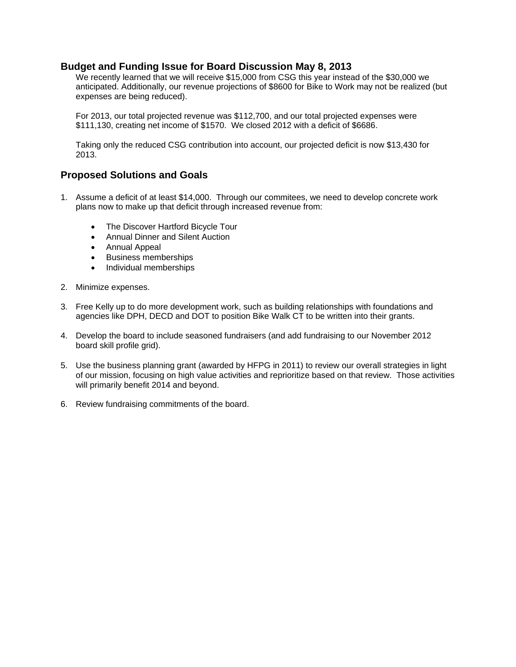#### **Budget and Funding Issue for Board Discussion May 8, 2013**

We recently learned that we will receive \$15,000 from CSG this year instead of the \$30,000 we anticipated. Additionally, our revenue projections of \$8600 for Bike to Work may not be realized (but expenses are being reduced).

For 2013, our total projected revenue was \$112,700, and our total projected expenses were \$111,130, creating net income of \$1570. We closed 2012 with a deficit of \$6686.

Taking only the reduced CSG contribution into account, our projected deficit is now \$13,430 for 2013.

#### **Proposed Solutions and Goals**

- 1. Assume a deficit of at least \$14,000. Through our commitees, we need to develop concrete work plans now to make up that deficit through increased revenue from:
	- The Discover Hartford Bicycle Tour
	- Annual Dinner and Silent Auction
	- Annual Appeal
	- **•** Business memberships
	- Individual memberships
- 2. Minimize expenses.
- 3. Free Kelly up to do more development work, such as building relationships with foundations and agencies like DPH, DECD and DOT to position Bike Walk CT to be written into their grants.
- 4. Develop the board to include seasoned fundraisers (and add fundraising to our November 2012 board skill profile grid).
- 5. Use the business planning grant (awarded by HFPG in 2011) to review our overall strategies in light of our mission, focusing on high value activities and reprioritize based on that review. Those activities will primarily benefit 2014 and beyond.
- 6. Review fundraising commitments of the board.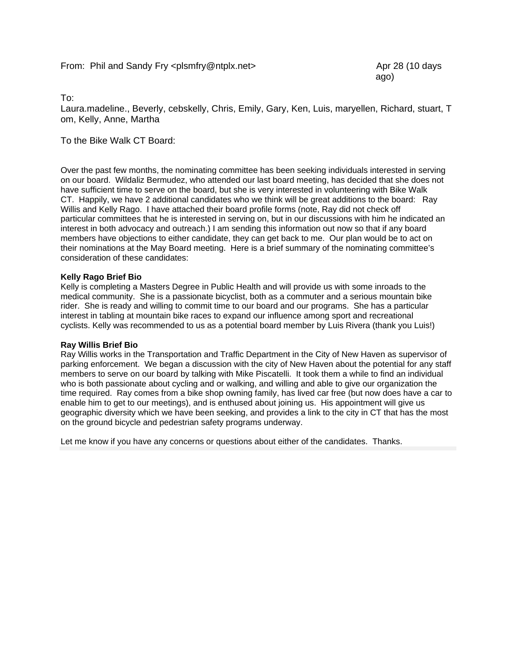ago)

To:

Laura.madeline., Beverly, cebskelly, Chris, Emily, Gary, Ken, Luis, maryellen, Richard, stuart, T om, Kelly, Anne, Martha

To the Bike Walk CT Board:

Over the past few months, the nominating committee has been seeking individuals interested in serving on our board. Wildaliz Bermudez, who attended our last board meeting, has decided that she does not have sufficient time to serve on the board, but she is very interested in volunteering with Bike Walk CT. Happily, we have 2 additional candidates who we think will be great additions to the board: Ray Willis and Kelly Rago. I have attached their board profile forms (note, Ray did not check off particular committees that he is interested in serving on, but in our discussions with him he indicated an interest in both advocacy and outreach.) I am sending this information out now so that if any board members have objections to either candidate, they can get back to me. Our plan would be to act on their nominations at the May Board meeting. Here is a brief summary of the nominating committee's consideration of these candidates:

#### **Kelly Rago Brief Bio**

Kelly is completing a Masters Degree in Public Health and will provide us with some inroads to the medical community. She is a passionate bicyclist, both as a commuter and a serious mountain bike rider. She is ready and willing to commit time to our board and our programs. She has a particular interest in tabling at mountain bike races to expand our influence among sport and recreational cyclists. Kelly was recommended to us as a potential board member by Luis Rivera (thank you Luis!)

#### **Ray Willis Brief Bio**

Ray Willis works in the Transportation and Traffic Department in the City of New Haven as supervisor of parking enforcement. We began a discussion with the city of New Haven about the potential for any staff members to serve on our board by talking with Mike Piscatelli. It took them a while to find an individual who is both passionate about cycling and or walking, and willing and able to give our organization the time required. Ray comes from a bike shop owning family, has lived car free (but now does have a car to enable him to get to our meetings), and is enthused about joining us. His appointment will give us geographic diversity which we have been seeking, and provides a link to the city in CT that has the most on the ground bicycle and pedestrian safety programs underway.

Let me know if you have any concerns or questions about either of the candidates. Thanks.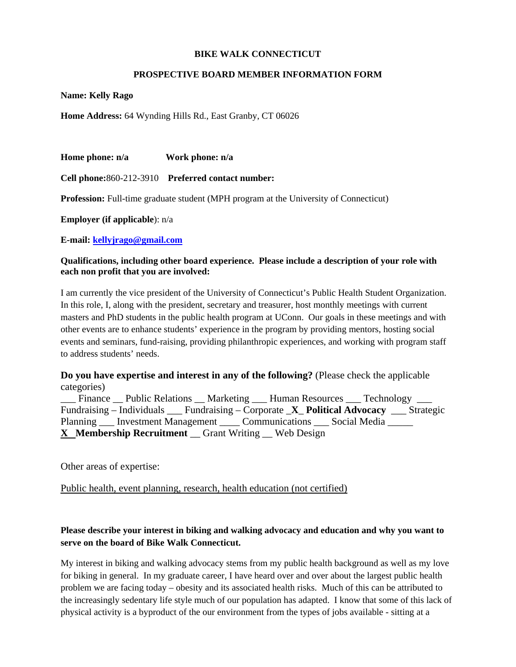#### **BIKE WALK CONNECTICUT**

#### **PROSPECTIVE BOARD MEMBER INFORMATION FORM**

**Name: Kelly Rago** 

**Home Address:** 64 Wynding Hills Rd., East Granby, CT 06026

**Home phone: n/a Work phone: n/a** 

**Cell phone:**860-212-3910 **Preferred contact number:** 

**Profession:** Full-time graduate student (MPH program at the University of Connecticut)

**Employer (if applicable**): n/a

**E-mail: kellyjrago@gmail.com** 

#### **Qualifications, including other board experience. Please include a description of your role with each non profit that you are involved:**

I am currently the vice president of the University of Connecticut's Public Health Student Organization. In this role, I, along with the president, secretary and treasurer, host monthly meetings with current masters and PhD students in the public health program at UConn. Our goals in these meetings and with other events are to enhance students' experience in the program by providing mentors, hosting social events and seminars, fund-raising, providing philanthropic experiences, and working with program staff to address students' needs.

**Do you have expertise and interest in any of the following?** (Please check the applicable categories)

\_Finance \_\_ Public Relations \_\_ Marketing \_\_\_ Human Resources \_\_\_ Technology \_ Fundraising – Individuals \_\_\_ Fundraising – Corporate \_**X**\_ **Political Advocacy** \_\_\_ Strategic Planning \_\_\_\_ Investment Management \_\_\_\_\_ Communications \_\_\_\_ Social Media \_\_\_\_\_ **X Membership Recruitment** \_\_ Grant Writing \_\_ Web Design

Other areas of expertise:

Public health, event planning, research, health education (not certified)

### **Please describe your interest in biking and walking advocacy and education and why you want to serve on the board of Bike Walk Connecticut.**

My interest in biking and walking advocacy stems from my public health background as well as my love for biking in general. In my graduate career, I have heard over and over about the largest public health problem we are facing today – obesity and its associated health risks. Much of this can be attributed to the increasingly sedentary life style much of our population has adapted. I know that some of this lack of physical activity is a byproduct of the our environment from the types of jobs available - sitting at a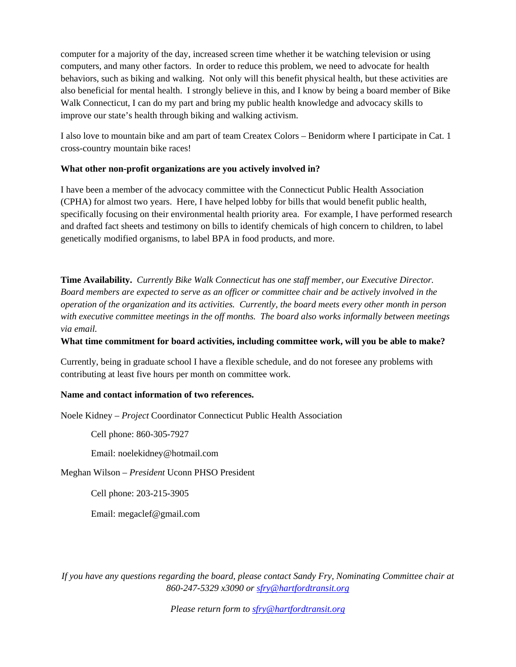computer for a majority of the day, increased screen time whether it be watching television or using computers, and many other factors. In order to reduce this problem, we need to advocate for health behaviors, such as biking and walking. Not only will this benefit physical health, but these activities are also beneficial for mental health. I strongly believe in this, and I know by being a board member of Bike Walk Connecticut, I can do my part and bring my public health knowledge and advocacy skills to improve our state's health through biking and walking activism.

I also love to mountain bike and am part of team Createx Colors – Benidorm where I participate in Cat. 1 cross-country mountain bike races!

#### **What other non-profit organizations are you actively involved in?**

I have been a member of the advocacy committee with the Connecticut Public Health Association (CPHA) for almost two years. Here, I have helped lobby for bills that would benefit public health, specifically focusing on their environmental health priority area. For example, I have performed research and drafted fact sheets and testimony on bills to identify chemicals of high concern to children, to label genetically modified organisms, to label BPA in food products, and more.

**Time Availability.** *Currently Bike Walk Connecticut has one staff member, our Executive Director. Board members are expected to serve as an officer or committee chair and be actively involved in the operation of the organization and its activities. Currently, the board meets every other month in person with executive committee meetings in the off months. The board also works informally between meetings via email.* 

#### **What time commitment for board activities, including committee work, will you be able to make?**

Currently, being in graduate school I have a flexible schedule, and do not foresee any problems with contributing at least five hours per month on committee work.

#### **Name and contact information of two references.**

Noele Kidney – *Project* Coordinator Connecticut Public Health Association

Cell phone: 860-305-7927

Email: noelekidney@hotmail.com

Meghan Wilson – *President* Uconn PHSO President

Cell phone: 203-215-3905

Email: megaclef@gmail.com

*If you have any questions regarding the board, please contact Sandy Fry, Nominating Committee chair at 860-247-5329 x3090 or sfry@hartfordtransit.org*

*Please return form to sfry@hartfordtransit.org*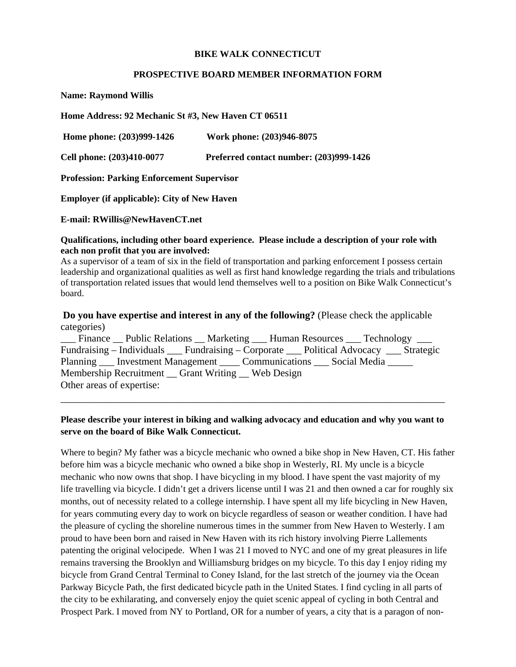#### **BIKE WALK CONNECTICUT**

#### **PROSPECTIVE BOARD MEMBER INFORMATION FORM**

**Name: Raymond Willis** 

**Home Address: 92 Mechanic St #3, New Haven CT 06511** 

 **Home phone: (203)999-1426 Work phone: (203)946-8075** 

**Cell phone: (203)410-0077 Preferred contact number: (203)999-1426** 

**Profession: Parking Enforcement Supervisor** 

**Employer (if applicable): City of New Haven** 

**E-mail: RWillis@NewHavenCT.net** 

#### **Qualifications, including other board experience. Please include a description of your role with each non profit that you are involved:**

As a supervisor of a team of six in the field of transportation and parking enforcement I possess certain leadership and organizational qualities as well as first hand knowledge regarding the trials and tribulations of transportation related issues that would lend themselves well to a position on Bike Walk Connecticut's board.

#### **Do you have expertise and interest in any of the following?** (Please check the applicable categories)

|                           | __ Finance __ Public Relations __ Marketing ___ Human Resources ___ Technology ___ |  |  |
|---------------------------|------------------------------------------------------------------------------------|--|--|
|                           | Fundraising – Individuals Fundraising – Corporate Political Advocacy Strategic     |  |  |
|                           | Planning ___ Investment Management _____ Communications ____ Social Media ______   |  |  |
|                           | Membership Recruitment __ Grant Writing __ Web Design                              |  |  |
| Other areas of expertise: |                                                                                    |  |  |

#### **Please describe your interest in biking and walking advocacy and education and why you want to serve on the board of Bike Walk Connecticut.**

\_\_\_\_\_\_\_\_\_\_\_\_\_\_\_\_\_\_\_\_\_\_\_\_\_\_\_\_\_\_\_\_\_\_\_\_\_\_\_\_\_\_\_\_\_\_\_\_\_\_\_\_\_\_\_\_\_\_\_\_\_\_\_\_\_\_\_\_\_\_\_\_\_\_\_\_

Where to begin? My father was a bicycle mechanic who owned a bike shop in New Haven, CT. His father before him was a bicycle mechanic who owned a bike shop in Westerly, RI. My uncle is a bicycle mechanic who now owns that shop. I have bicycling in my blood. I have spent the vast majority of my life travelling via bicycle. I didn't get a drivers license until I was 21 and then owned a car for roughly six months, out of necessity related to a college internship. I have spent all my life bicycling in New Haven, for years commuting every day to work on bicycle regardless of season or weather condition. I have had the pleasure of cycling the shoreline numerous times in the summer from New Haven to Westerly. I am proud to have been born and raised in New Haven with its rich history involving Pierre Lallements patenting the original velocipede. When I was 21 I moved to NYC and one of my great pleasures in life remains traversing the Brooklyn and Williamsburg bridges on my bicycle. To this day I enjoy riding my bicycle from Grand Central Terminal to Coney Island, for the last stretch of the journey via the Ocean Parkway Bicycle Path, the first dedicated bicycle path in the United States. I find cycling in all parts of the city to be exhilarating, and conversely enjoy the quiet scenic appeal of cycling in both Central and Prospect Park. I moved from NY to Portland, OR for a number of years, a city that is a paragon of non